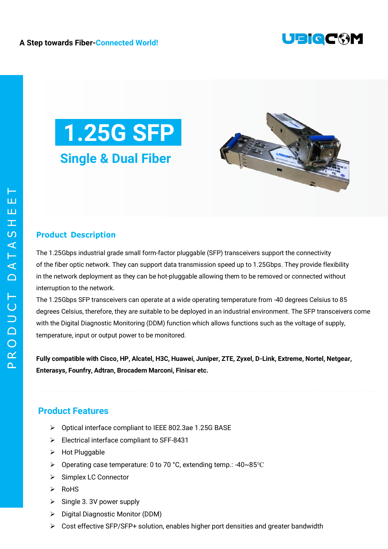





## **Product Description**

The 1.25Gbps industrial grade small form-factor pluggable (SFP) transceivers support the connectivity of the fiber optic network. They can support data transmission speed up to 1.25Gbps. They provide flexibility in the network deployment as they can be hot-pluggable allowing them to be removed or connected without interruption to the network.

The 1.25Gbps SFP transceivers can operate at a wide operating temperature from -40 degrees Celsius to 85 degrees Celsius, therefore, they are suitable to be deployed in an industrial environment. The SFP transceivers come with the Digital Diagnostic Monitoring (DDM) function which allows functions such as the voltage of supply, temperature, input or output power to be monitored.

**Fully compatible with Cisco, HP, Alcatel, H3C, Huawei, Juniper, ZTE, Zyxel, D-Link, Extreme, Nortel, Netgear, Enterasys, Founfry, Adtran, Brocadem Marconi, Finisar etc.**

## **Product Features**

- Optical interface compliant to IEEE 802.3ae 1.25G BASE
- Electrical interface compliant to SFF-8431
- > Hot Pluggable
- Operating case temperature: 0 to 70 °C, extending temp.: -40~85℃
- $\triangleright$  Simplex LC Connector
- $\triangleright$  RoHS
- $\triangleright$  Single 3. 3V power supply
- ▶ Digital Diagnostic Monitor (DDM)
- $\triangleright$  Cost effective SFP/SFP+ solution, enables higher port densities and greater bandwidth